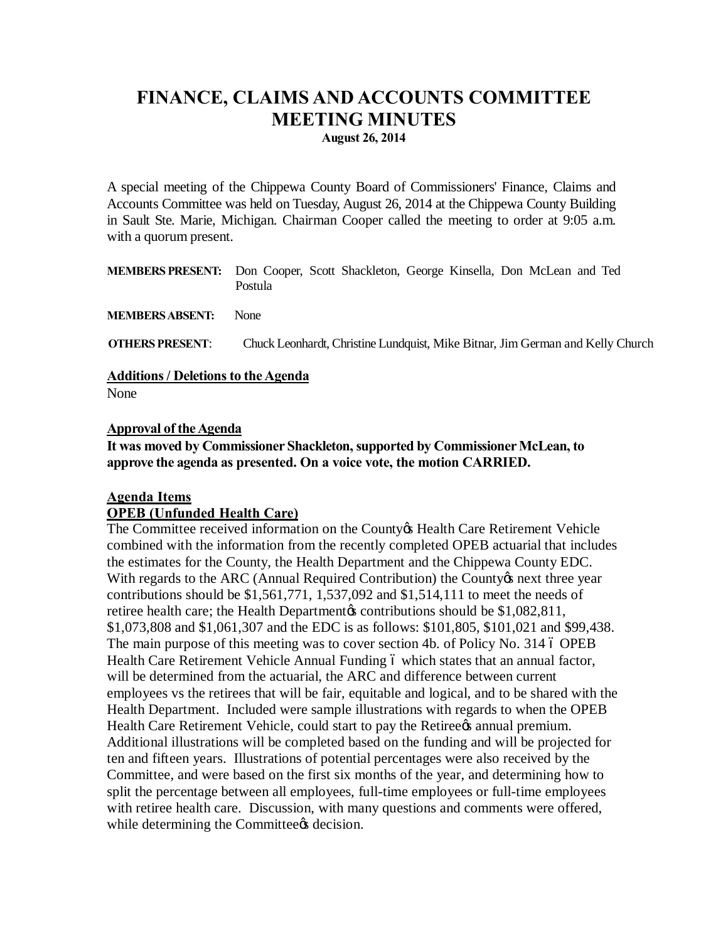### **FINANCE, CLAIMS AND ACCOUNTS COMMITTEE MEETING MINUTES August 26, 2014**

A special meeting of the Chippewa County Board of Commissioners' Finance, Claims and Accounts Committee was held on Tuesday, August 26, 2014 at the Chippewa County Building in Sault Ste. Marie, Michigan. Chairman Cooper called the meeting to order at 9:05 a.m. with a quorum present.

**MEMBERS PRESENT:** Don Cooper, Scott Shackleton, George Kinsella, Don McLean and Ted Postula

**MEMBERS ABSENT:** None

**OTHERS PRESENT**: Chuck Leonhardt, Christine Lundquist, Mike Bitnar, Jim German and Kelly Church

**Additions / Deletions to the Agenda** 

None

#### **Approval of the Agenda**

**It was moved by Commissioner Shackleton, supported by Commissioner McLean, to approve the agenda as presented. On a voice vote, the motion CARRIED.**

#### **Agenda Items**

#### **OPEB (Unfunded Health Care)**

The Committee received information on the County & Health Care Retirement Vehicle combined with the information from the recently completed OPEB actuarial that includes the estimates for the County, the Health Department and the Chippewa County EDC. With regards to the ARC (Annual Required Contribution) the County is next three year contributions should be \$1,561,771, 1,537,092 and \$1,514,111 to meet the needs of retiree health care; the Health Department to contributions should be \$1,082,811, \$1,073,808 and \$1,061,307 and the EDC is as follows: \$101,805, \$101,021 and \$99,438. The main purpose of this meeting was to cover section 4b. of Policy No. 314 6 OPEB Health Care Retirement Vehicle Annual Funding 6 which states that an annual factor, will be determined from the actuarial, the ARC and difference between current employees vs the retirees that will be fair, equitable and logical, and to be shared with the Health Department. Included were sample illustrations with regards to when the OPEB Health Care Retirement Vehicle, could start to pay the Retiree $\alpha$  annual premium. Additional illustrations will be completed based on the funding and will be projected for ten and fifteen years. Illustrations of potential percentages were also received by the Committee, and were based on the first six months of the year, and determining how to split the percentage between all employees, full-time employees or full-time employees with retiree health care. Discussion, with many questions and comments were offered, while determining the Committee<sub>g</sub> decision.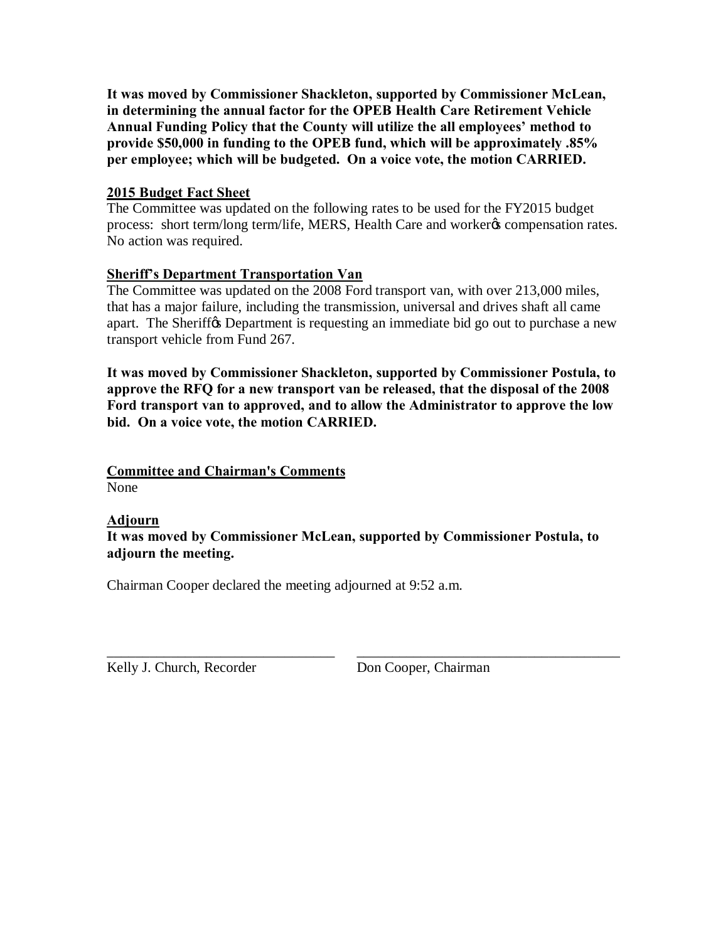**It was moved by Commissioner Shackleton, supported by Commissioner McLean, in determining the annual factor for the OPEB Health Care Retirement Vehicle Annual Funding Policy that the County will utilize the all employees' method to provide \$50,000 in funding to the OPEB fund, which will be approximately .85% per employee; which will be budgeted. On a voice vote, the motion CARRIED.**

#### **2015 Budget Fact Sheet**

The Committee was updated on the following rates to be used for the FY2015 budget process: short term/long term/life, MERS, Health Care and worker $\alpha$  compensation rates. No action was required.

#### **Sheriff's Department Transportation Van**

The Committee was updated on the 2008 Ford transport van, with over 213,000 miles, that has a major failure, including the transmission, universal and drives shaft all came apart. The Sheriff the Department is requesting an immediate bid go out to purchase a new transport vehicle from Fund 267.

**It was moved by Commissioner Shackleton, supported by Commissioner Postula, to approve the RFQ for a new transport van be released, that the disposal of the 2008 Ford transport van to approved, and to allow the Administrator to approve the low bid. On a voice vote, the motion CARRIED.**

**Committee and Chairman's Comments** None

#### **Adjourn**

**It was moved by Commissioner McLean, supported by Commissioner Postula, to adjourn the meeting.**

\_\_\_\_\_\_\_\_\_\_\_\_\_\_\_\_\_\_\_\_\_\_\_\_\_\_\_\_\_\_\_\_ \_\_\_\_\_\_\_\_\_\_\_\_\_\_\_\_\_\_\_\_\_\_\_\_\_\_\_\_\_\_\_\_\_\_\_\_\_

Chairman Cooper declared the meeting adjourned at 9:52 a.m.

Kelly J. Church, Recorder Don Cooper, Chairman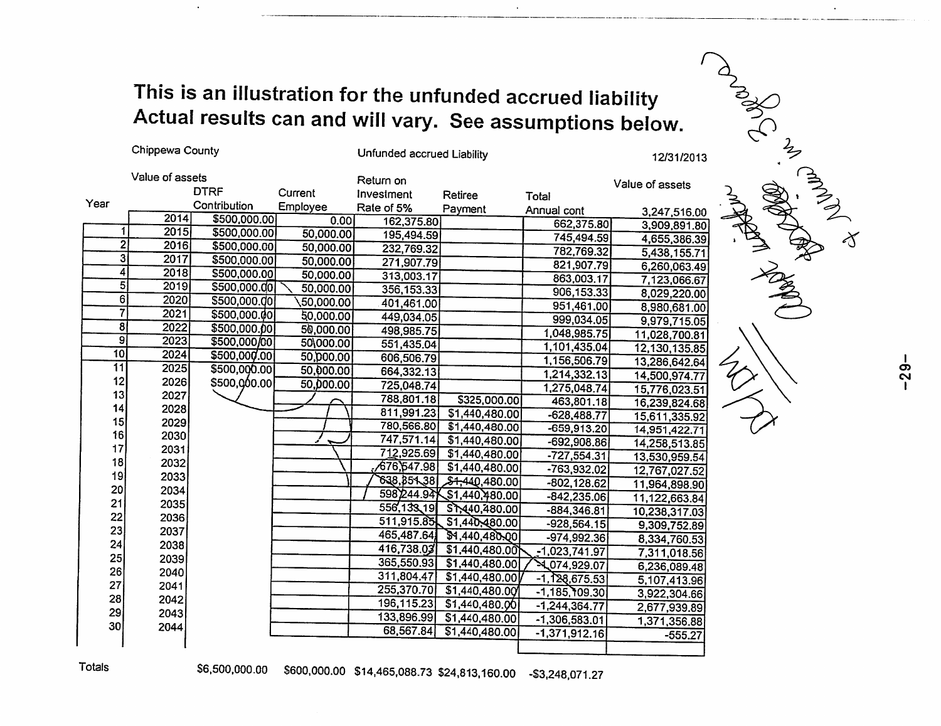## This is an illustration for the unfunded accrued liability Actual results can and will vary. See assumptions below.

Unfunded accrued Liability Value of assets Return on Value of assets **DTRF** Current Investment Retiree Total Year Contribution Employee Rate of 5% Payment Annual cont 3,247,516.00  $2014$ \$500,000.00  $0.00$ 162,375.80 662,375.80 3,909,891.80 \$500,000.00  $\overline{1}$ 2015 50,000.00 195.494.59 745,494.59 4,655,386.39  $\overline{2}$ 2016 \$500,000.00 50,000.00 232.769.32 782,769.32 5,438,155.71  $\overline{3}$ 2017 \$500,000.00 50,000.00 271,907.79 821,907.79 6,260,063.49  $\overline{4}$  $2018$ \$500,000.00 50,000.00 313,003.17 863,003.17 7,123,066.67 5 2019 \$500,000.00 50,000.00 356, 153.33 906.153.33 8,029,220.00 6 2020 \$500,000.00 50,000.00 401,461.00 951,461.00 8,980,681.00  $\overline{7}$ 2021 \$500,000.00 50,000.00 449.034.05 999,034.05 9,979,715.05  $\overline{8}$ \$500,000.00 2022 50,000.00 498,985.75 1,048,985.75 11,028,700.81  $\overline{9}$ 2023 \$500,000/00 50\000.00 551,435.04 1,101,435.04 12,130,135.85  $\overline{10}$ \$500,000.00 2024 50,000.00 606,506.79 1,156,506.79 13,286,642,64  $\overline{11}$ 2025 \$500,000.00 50.000.00 664,332.13 1,214,332.13 14,500,974.77  $12$ 2026 \$500,000.00 50,000.00 725,048.74 1,275,048.74 15,776,023.51 13 2027 788,801.18 \$325,000.00 463,801.18 16,239,824.68 14 2028  $811,991.23$ \$1,440,480.00  $-628,488.77$ 15,611,335.92 15 2029 780,566.80 \$1,440,480.00  $-659,913.20$ 14,951,422.71 16 2030 747,571.14 \$1,440,480.00  $-692,908.86$ 14,258,513,85  $17$ 2031 712,925.69 \$1,440,480.00  $-727,554,31$ 13,530,959.54 18 2032 676,647.98 \$1,440,480.00  $-763,932,02$ 12,767,027.52  $19$ 2033 638.854.38 \$4,440,480.00  $-802, 128.62$ 11,964,898.90 20 2034 598244.94 \\$1,440,480.00 11,122,663.84  $-842,235.06$  $21$ 2035 556,138,19 STx40,480.00  $-884,346.81$ 10,238,317.03 22 2036 511,915.85 \$1,440,480.00  $-928,564.15$ 9,309,752.89 23 2037 \$1,440,480.00 465,487.64  $-974,992.36$ 8,334,760.53 24 2038 416,738.03  $$1,440,480,00$  $-1,023,741.97$ 7,311,018.56 25 2039 365,550,93 4.074,929.07 \$1,440,480.00 6,236,089.48 26 2040 311,804.47 \$1,440,480.00  $-1, 128, 675.53$ 5,107,413.96 27 2041 255,370.70 \$1,440,480.00  $-1,185,109.30$ 3,922,304.66 28 2042 196,115.23 \$1,440,480.00  $-1,244,364.77$ 2,677,939.89 29 2043 133,896.99 \$1,440,480.00  $-1,306,583.01$ 1,371,356.88 30 2044 68,567.84 \$1,440,480.00  $-1,371,912.16$  $-555.27$ 

12/31/2013

\$6,500,000.00 \$600,000.00 \$14,465,088.73 \$24,813,160.00 -\$3,248,071.27

**Totals** 

Chippewa County

ing the state